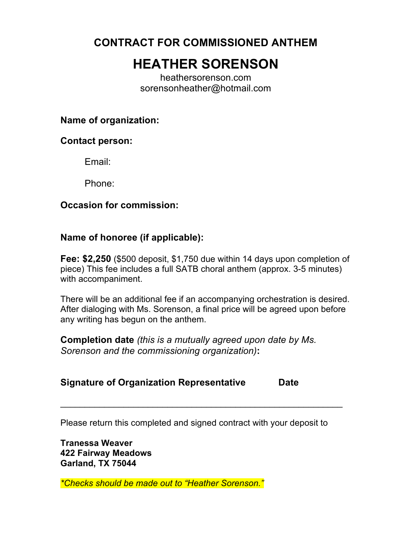**CONTRACT FOR COMMISSIONED ANTHEM**

# **HEATHER SORENSON**

heathersorenson.com sorensonheather@hotmail.com

## **Name of organization:**

#### **Contact person:**

Email:

Phone:

## **Occasion for commission:**

## **Name of honoree (if applicable):**

**Fee: \$2,250** (\$500 deposit, \$1,750 due within 14 days upon completion of piece) This fee includes a full SATB choral anthem (approx. 3-5 minutes) with accompaniment.

There will be an additional fee if an accompanying orchestration is desired. After dialoging with Ms. Sorenson, a final price will be agreed upon before any writing has begun on the anthem.

**Completion date** *(this is a mutually agreed upon date by Ms. Sorenson and the commissioning organization)***:**

## **Signature of Organization Representative Date**

Please return this completed and signed contract with your deposit to

\_\_\_\_\_\_\_\_\_\_\_\_\_\_\_\_\_\_\_\_\_\_\_\_\_\_\_\_\_\_\_\_\_\_\_\_\_\_\_\_\_\_\_\_\_\_\_\_\_\_\_\_\_\_\_\_\_\_

**Tranessa Weaver 422 Fairway Meadows Garland, TX 75044**

*\*Checks should be made out to "Heather Sorenson."*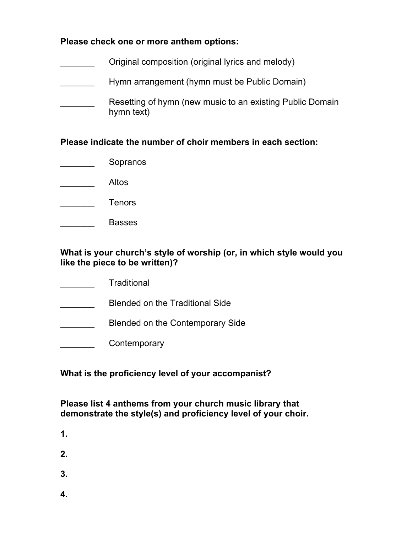#### **Please check one or more anthem options:**

Original composition (original lyrics and melody) Hymn arrangement (hymn must be Public Domain) Resetting of hymn (new music to an existing Public Domain hymn text)

**Please indicate the number of choir members in each section:**

- \_\_\_\_\_\_\_ Sopranos
- \_\_\_\_\_\_\_ Altos
- \_\_\_\_\_\_\_ Tenors
- \_\_\_\_\_\_\_ Basses

#### **What is your church's style of worship (or, in which style would you like the piece to be written)?**

- \_\_\_\_\_\_\_ Traditional
- **EXECUTE:** Blended on the Traditional Side
- Blended on the Contemporary Side
- **Example 12** Contemporary

#### **What is the proficiency level of your accompanist?**

### **Please list 4 anthems from your church music library that demonstrate the style(s) and proficiency level of your choir.**

- **1.**
- **2.**
- 
- **3.**
- **4.**